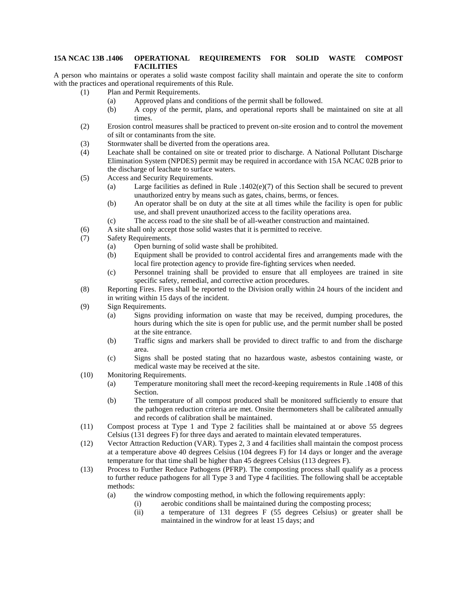## **15A NCAC 13B .1406 OPERATIONAL REQUIREMENTS FOR SOLID WASTE COMPOST FACILITIES**

A person who maintains or operates a solid waste compost facility shall maintain and operate the site to conform with the practices and operational requirements of this Rule.

- (1) Plan and Permit Requirements.
	- (a) Approved plans and conditions of the permit shall be followed.
	- (b) A copy of the permit, plans, and operational reports shall be maintained on site at all times.
- (2) Erosion control measures shall be practiced to prevent on-site erosion and to control the movement of silt or contaminants from the site.
- (3) Stormwater shall be diverted from the operations area.
- (4) Leachate shall be contained on site or treated prior to discharge. A National Pollutant Discharge Elimination System (NPDES) permit may be required in accordance with 15A NCAC 02B prior to the discharge of leachate to surface waters.
- (5) Access and Security Requirements.
	- (a) Large facilities as defined in Rule .1402(e)(7) of this Section shall be secured to prevent unauthorized entry by means such as gates, chains, berms, or fences.
	- (b) An operator shall be on duty at the site at all times while the facility is open for public use, and shall prevent unauthorized access to the facility operations area.
	- (c) The access road to the site shall be of all-weather construction and maintained.
- (6) A site shall only accept those solid wastes that it is permitted to receive.
- (7) Safety Requirements.
	- (a) Open burning of solid waste shall be prohibited.
	- (b) Equipment shall be provided to control accidental fires and arrangements made with the local fire protection agency to provide fire-fighting services when needed.
	- (c) Personnel training shall be provided to ensure that all employees are trained in site specific safety, remedial, and corrective action procedures.
- (8) Reporting Fires. Fires shall be reported to the Division orally within 24 hours of the incident and in writing within 15 days of the incident.
- (9) Sign Requirements.
	- (a) Signs providing information on waste that may be received, dumping procedures, the hours during which the site is open for public use, and the permit number shall be posted at the site entrance.
	- (b) Traffic signs and markers shall be provided to direct traffic to and from the discharge area.
	- (c) Signs shall be posted stating that no hazardous waste, asbestos containing waste, or medical waste may be received at the site.
- (10) Monitoring Requirements.
	- (a) Temperature monitoring shall meet the record-keeping requirements in Rule .1408 of this Section.
	- (b) The temperature of all compost produced shall be monitored sufficiently to ensure that the pathogen reduction criteria are met. Onsite thermometers shall be calibrated annually and records of calibration shall be maintained.
- (11) Compost process at Type 1 and Type 2 facilities shall be maintained at or above 55 degrees Celsius (131 degrees F) for three days and aerated to maintain elevated temperatures.
- (12) Vector Attraction Reduction (VAR). Types 2, 3 and 4 facilities shall maintain the compost process at a temperature above 40 degrees Celsius (104 degrees F) for 14 days or longer and the average temperature for that time shall be higher than 45 degrees Celsius (113 degrees F).
- (13) Process to Further Reduce Pathogens (PFRP). The composting process shall qualify as a process to further reduce pathogens for all Type 3 and Type 4 facilities. The following shall be acceptable methods:
	- (a) the windrow composting method, in which the following requirements apply:
		- (i) aerobic conditions shall be maintained during the composting process;
			- (ii) a temperature of 131 degrees F (55 degrees Celsius) or greater shall be maintained in the windrow for at least 15 days; and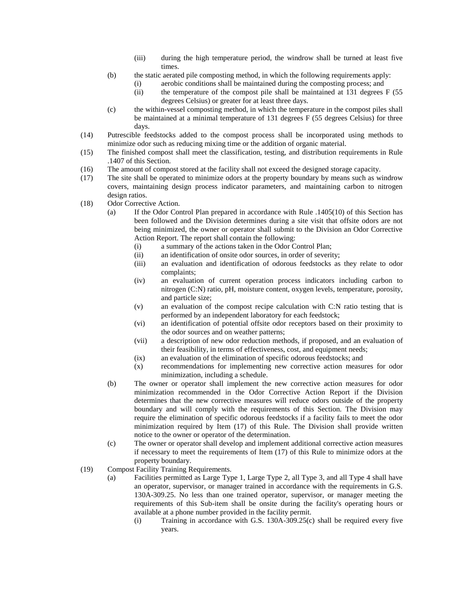- (iii) during the high temperature period, the windrow shall be turned at least five times.
- (b) the static aerated pile composting method, in which the following requirements apply:
	- (i) aerobic conditions shall be maintained during the composting process; and
	- (ii) the temperature of the compost pile shall be maintained at 131 degrees F (55 degrees Celsius) or greater for at least three days.
- (c) the within-vessel composting method, in which the temperature in the compost piles shall be maintained at a minimal temperature of 131 degrees F (55 degrees Celsius) for three days.
- (14) Putrescible feedstocks added to the compost process shall be incorporated using methods to minimize odor such as reducing mixing time or the addition of organic material.
- (15) The finished compost shall meet the classification, testing, and distribution requirements in Rule .1407 of this Section.
- (16) The amount of compost stored at the facility shall not exceed the designed storage capacity.
- (17) The site shall be operated to minimize odors at the property boundary by means such as windrow covers, maintaining design process indicator parameters, and maintaining carbon to nitrogen design ratios.
- (18) Odor Corrective Action.
	- (a) If the Odor Control Plan prepared in accordance with Rule .1405(10) of this Section has been followed and the Division determines during a site visit that offsite odors are not being minimized, the owner or operator shall submit to the Division an Odor Corrective Action Report. The report shall contain the following:
		- (i) a summary of the actions taken in the Odor Control Plan;
		- (ii) an identification of onsite odor sources, in order of severity;
		- (iii) an evaluation and identification of odorous feedstocks as they relate to odor complaints;
		- (iv) an evaluation of current operation process indicators including carbon to nitrogen (C:N) ratio, pH, moisture content, oxygen levels, temperature, porosity, and particle size;
		- (v) an evaluation of the compost recipe calculation with C:N ratio testing that is performed by an independent laboratory for each feedstock;
		- (vi) an identification of potential offsite odor receptors based on their proximity to the odor sources and on weather patterns;
		- (vii) a description of new odor reduction methods, if proposed, and an evaluation of their feasibility, in terms of effectiveness, cost, and equipment needs;
		- (ix) an evaluation of the elimination of specific odorous feedstocks; and
		- (x) recommendations for implementing new corrective action measures for odor minimization, including a schedule.
	- (b) The owner or operator shall implement the new corrective action measures for odor minimization recommended in the Odor Corrective Action Report if the Division determines that the new corrective measures will reduce odors outside of the property boundary and will comply with the requirements of this Section. The Division may require the elimination of specific odorous feedstocks if a facility fails to meet the odor minimization required by Item (17) of this Rule. The Division shall provide written notice to the owner or operator of the determination.
	- (c) The owner or operator shall develop and implement additional corrective action measures if necessary to meet the requirements of Item (17) of this Rule to minimize odors at the property boundary.
- (19) Compost Facility Training Requirements.
	- (a) Facilities permitted as Large Type 1, Large Type 2, all Type 3, and all Type 4 shall have an operator, supervisor, or manager trained in accordance with the requirements in G.S. 130A-309.25. No less than one trained operator, supervisor, or manager meeting the requirements of this Sub-item shall be onsite during the facility's operating hours or available at a phone number provided in the facility permit.
		- (i) Training in accordance with G.S. 130A-309.25(c) shall be required every five years.